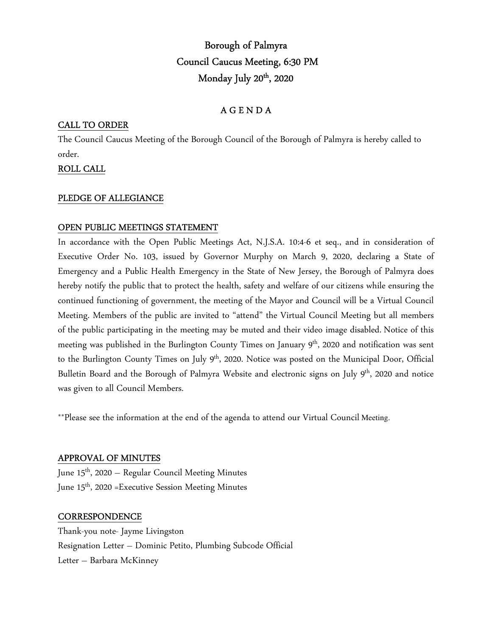# Borough of Palmyra Council Caucus Meeting, 6:30 PM Monday July  $20<sup>th</sup>$ , 2020

# A G E N D A

## CALL TO ORDER

The Council Caucus Meeting of the Borough Council of the Borough of Palmyra is hereby called to order.

# ROLL CALL

#### PLEDGE OF ALLEGIANCE

## OPEN PUBLIC MEETINGS STATEMENT

In accordance with the Open Public Meetings Act, N.J.S.A. 10:4-6 et seq., and in consideration of Executive Order No. 103, issued by Governor Murphy on March 9, 2020, declaring a State of Emergency and a Public Health Emergency in the State of New Jersey, the Borough of Palmyra does hereby notify the public that to protect the health, safety and welfare of our citizens while ensuring the continued functioning of government, the meeting of the Mayor and Council will be a Virtual Council Meeting. Members of the public are invited to "attend" the Virtual Council Meeting but all members of the public participating in the meeting may be muted and their video image disabled. Notice of this meeting was published in the Burlington County Times on January 9<sup>th</sup>, 2020 and notification was sent to the Burlington County Times on July 9<sup>th</sup>, 2020. Notice was posted on the Municipal Door, Official Bulletin Board and the Borough of Palmyra Website and electronic signs on July 9<sup>th</sup>, 2020 and notice was given to all Council Members.

\*\*Please see the information at the end of the agenda to attend our Virtual Council Meeting.

#### APPROVAL OF MINUTES

June 15<sup>th</sup>, 2020 – Regular Council Meeting Minutes June 15<sup>th</sup>, 2020 =Executive Session Meeting Minutes

#### **CORRESPONDENCE**

Thank-you note- Jayme Livingston Resignation Letter – Dominic Petito, Plumbing Subcode Official Letter – Barbara McKinney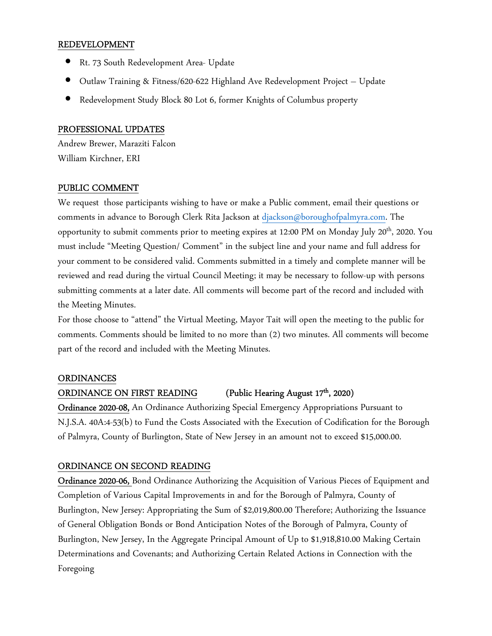#### REDEVELOPMENT

- Rt. 73 South Redevelopment Area- Update
- Outlaw Training & Fitness/620-622 Highland Ave Redevelopment Project Update
- Redevelopment Study Block 80 Lot 6, former Knights of Columbus property

#### PROFESSIONAL UPDATES

Andrew Brewer, Maraziti Falcon William Kirchner, ERI

#### PUBLIC COMMENT

We request those participants wishing to have or make a Public comment, email their questions or comments in advance to Borough Clerk Rita Jackson at djackson@boroughofpalmyra.com. The opportunity to submit comments prior to meeting expires at 12:00 PM on Monday July  $20^{th}$ , 2020. You must include "Meeting Question/ Comment" in the subject line and your name and full address for your comment to be considered valid. Comments submitted in a timely and complete manner will be reviewed and read during the virtual Council Meeting; it may be necessary to follow-up with persons submitting comments at a later date. All comments will become part of the record and included with the Meeting Minutes.

For those choose to "attend" the Virtual Meeting, Mayor Tait will open the meeting to the public for comments. Comments should be limited to no more than (2) two minutes. All comments will become part of the record and included with the Meeting Minutes.

#### ORDINANCES

#### ORDINANCE ON FIRST READING (Public Hearing August  $17<sup>th</sup>$ , 2020)

Ordinance 2020-08, An Ordinance Authorizing Special Emergency Appropriations Pursuant to N.J.S.A. 40A:4-53(b) to Fund the Costs Associated with the Execution of Codification for the Borough of Palmyra, County of Burlington, State of New Jersey in an amount not to exceed \$15,000.00.

#### ORDINANCE ON SECOND READING

Ordinance 2020-06, Bond Ordinance Authorizing the Acquisition of Various Pieces of Equipment and Completion of Various Capital Improvements in and for the Borough of Palmyra, County of Burlington, New Jersey: Appropriating the Sum of \$2,019,800.00 Therefore; Authorizing the Issuance of General Obligation Bonds or Bond Anticipation Notes of the Borough of Palmyra, County of Burlington, New Jersey, In the Aggregate Principal Amount of Up to \$1,918,810.00 Making Certain Determinations and Covenants; and Authorizing Certain Related Actions in Connection with the Foregoing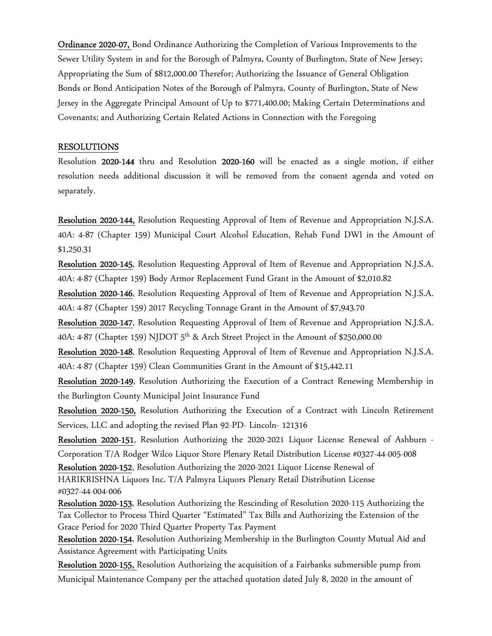Ordinance 2020-07, Bond Ordinance Authorizing the Completion of Various Improvements to the Sewer Utility System in and for the Borough of Palmyra, County of Burlington, State of New Jersey; Appropriating the Sum of \$812,000.00 Therefor; Authorizing the Issuance of General Obligation Bonds or Bond Anticipation Notes of the Borough of Palmyra, County of Burlington, State of New Jersey in the Aggregate Principal Amount of Up to \$771,400.00; Making Certain Determinations and Covenants; and Authorizing Certain Related Actions in Connection with the Foregoing

#### RESOLUTIONS

Resolution 2020-144 thru and Resolution 2020-160 will be enacted as a single motion, if either resolution needs additional discussion it will be removed from the consent agenda and voted on separately.

Resolution 2020-144, Resolution Requesting Approval of Item of Revenue and Appropriation N.J.S.A. 40A: 4-87 (Chapter 159) Municipal Court Alcohol Education, Rehab Fund DWI in the Amount of \$1,250.31

Resolution 2020-145, Resolution Requesting Approval of Item of Revenue and Appropriation N.J.S.A. 40A: 4-87 (Chapter 159) Body Armor Replacement Fund Grant in the Amount of \$2,010.82

Resolution 2020-146, Resolution Requesting Approval of Item of Revenue and Appropriation N.J.S.A. 40A: 4-87 (Chapter 159) 2017 Recycling Tonnage Grant in the Amount of \$7,943.70

Resolution 2020-147, Resolution Requesting Approval of Item of Revenue and Appropriation N.J.S.A. 40A: 4-87 (Chapter 159) NJDOT  $5<sup>th</sup>$  & Arch Street Project in the Amount of \$250,000.00

Resolution 2020-148, Resolution Requesting Approval of Item of Revenue and Appropriation N.J.S.A. 40A: 4-87 (Chapter 159) Clean Communities Grant in the Amount of \$15,442.11

Resolution 2020-149, Resolution Authorizing the Execution of a Contract Renewing Membership in the Burlington County Municipal Joint Insurance Fund

Resolution 2020-150, Resolution Authorizing the Execution of a Contract with Lincoln Retirement Services, LLC and adopting the revised Plan 92-PD- Lincoln- 121316

Resolution 2020-151, Resolution Authorizing the 2020-2021 Liquor License Renewal of Ashburn - Corporation T/A Rodger Wilco Liquor Store Plenary Retail Distribution License #0327-44-005-008

Resolution 2020-152, Resolution Authorizing the 2020-2021 Liquor License Renewal of HARIKRISHNA Liquors Inc. T/A Palmyra Liquors Plenary Retail Distribution License #0327-44-004-006

Resolution 2020-153, Resolution Authorizing the Rescinding of Resolution 2020-115 Authorizing the Tax Collector to Process Third Quarter "Estimated" Tax Bills and Authorizing the Extension of the Grace Period for 2020 Third Quarter Property Tax Payment

Resolution 2020-154, Resolution Authorizing Membership in the Burlington County Mutual Aid and Assistance Agreement with Participating Units

Resolution 2020-155, Resolution Authorizing the acquisition of a Fairbanks submersible pump from Municipal Maintenance Company per the attached quotation dated July 8, 2020 in the amount of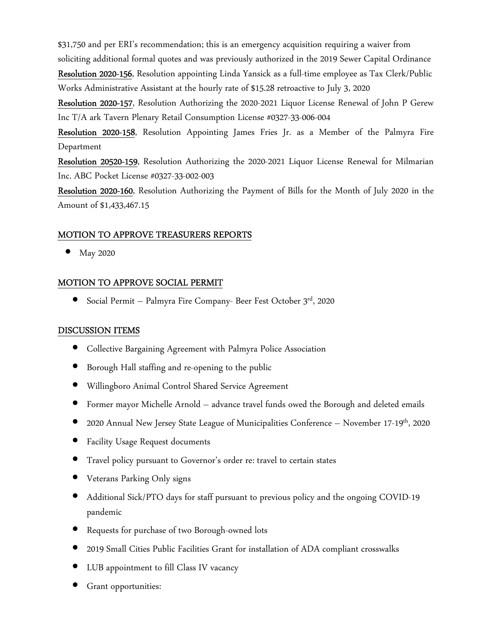\$31,750 and per ERI's recommendation; this is an emergency acquisition requiring a waiver from soliciting additional formal quotes and was previously authorized in the 2019 Sewer Capital Ordinance Resolution 2020-156, Resolution appointing Linda Yansick as a full-time employee as Tax Clerk/Public

Works Administrative Assistant at the hourly rate of \$15.28 retroactive to July 3, 2020

Resolution 2020-157, Resolution Authorizing the 2020-2021 Liquor License Renewal of John P Gerew Inc T/A ark Tavern Plenary Retail Consumption License #0327-33-006-004

Resolution 2020-158, Resolution Appointing James Fries Jr. as a Member of the Palmyra Fire Department

Resolution 20520-159, Resolution Authorizing the 2020-2021 Liquor License Renewal for Milmarian Inc. ABC Pocket License #0327-33-002-003

Resolution 2020-160, Resolution Authorizing the Payment of Bills for the Month of July 2020 in the Amount of \$1,433,467.15

## MOTION TO APPROVE TREASURERS REPORTS

• May 2020

## MOTION TO APPROVE SOCIAL PERMIT

• Social Permit – Palmyra Fire Company- Beer Fest October 3rd, 2020

#### DISCUSSION ITEMS

- Collective Bargaining Agreement with Palmyra Police Association
- Borough Hall staffing and re-opening to the public
- Willingboro Animal Control Shared Service Agreement
- Former mayor Michelle Arnold advance travel funds owed the Borough and deleted emails
- 2020 Annual New Jersey State League of Municipalities Conference November 17-19<sup>th</sup>, 2020
- Facility Usage Request documents
- Travel policy pursuant to Governor's order re: travel to certain states
- Veterans Parking Only signs
- Additional Sick/PTO days for staff pursuant to previous policy and the ongoing COVID-19 pandemic
- Requests for purchase of two Borough-owned lots
- 2019 Small Cities Public Facilities Grant for installation of ADA compliant crosswalks
- LUB appointment to fill Class IV vacancy
- Grant opportunities: